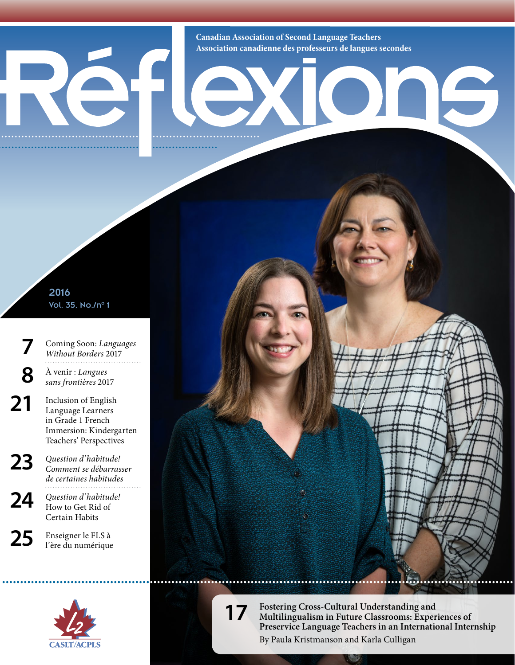**Canadian Association of Second Language Teachers Association canadienne des professeurs de langues secondes**

IE

## 2016 Vol. 35, No./n°1

- **7** Coming Soon: *Languages Without Borders* 2017
- **8** À venir : *Langues sans frontières* 2017
- 21 Inclusion of English Language Learners in Grade 1 French Immersion: Kindergarten Teachers' Perspectives
- **23** *Question d'habitude! Comment se débarrasser de certaines habitudes*
- **24** *Question d'habitude!* How to Get Rid of Certain Habits





**17 Fostering Cross-Cultural Understanding and Multilingualism in Future Classrooms: Experiences of Preservice Language Teachers in an International Internship** By Paula Kristmanson and Karla Culligan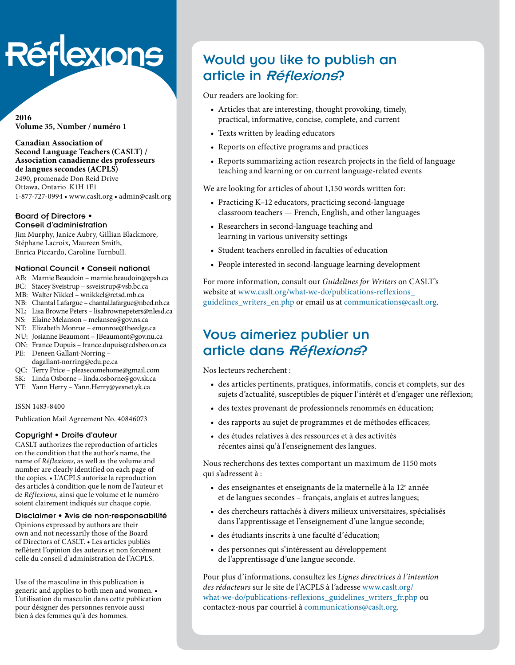# Réflexions

#### **2016 Volume 35, Number / numéro 1**

**Canadian Association of Second Language Teachers (CASLT) / Association canadienne des professeurs de langues secondes (ACPLS)** 2490, promenade Don Reid Drive Ottawa, Ontario K1H 1E1

1-877-727-0994 • [www.caslt.org](http://www.caslt.org) • [admin@caslt.org](mailto:admin%40caslt.org?subject=)

#### Board of Directors • Conseil d'administration

Jim Murphy, Janice Aubry, Gillian Blackmore, Stéphane Lacroix, Maureen Smith, Enrica Piccardo, Caroline Turnbull.

#### National Council • Conseil national

- AB: Marnie Beaudoin [marnie.beaudoin@epsb.ca](mailto:marnie.beaudoin%40epsb.ca?subject=)
- BC: Stacey Sveistrup – [ssveistrup@vsb.bc.ca](mailto:ssveistrup%40vsb.bc.ca?subject=)
- MB: Walter Nikkel [wnikkel@retsd.mb.ca](mailto:wnikkel%40retsd.mb.ca?subject=)
- NB: Chantal Lafargue – [chantal.lafargue@nbed.nb.ca](mailto:chantal.lafargue%40nbed.nb.ca?subject=)
- NL: Lisa Browne Peters [lisabrownepeters@](mailto:lisabrownepeters%40cdli.ca?subject=)nlesd.ca
- NS: Elaine Melanson – [melansea@gov.ns.ca](mailto:melansea%40gov.ns.ca?subject=)
- NT: Elizabeth Monroe [emonroe@theedge.ca](mailto:emonroe%40theedge.ca?subject=) NU: Josianne Beaumont – [JBeaumont@gov.nu.ca](mailto:JBeaumont%40gov.nu.ca?subject=)
- ON: France Dupuis – [france.dupuis@cdsbeo.on.ca](mailto:france.dupuis%40cdsbeo.on.ca?subject=)
- PE: Deneen Gallant-Norring –
- [dagallant-norring@edu.pe.ca](mailto:dagallant-norring%40edu.pe.ca?subject=)
- QC: Terry Price – [pleasecomehome@gmail.com](mailto:pleasecomehome%40gmail.com?subject=)
- SK: Linda Osborne – [linda.osborne@gov.sk.ca](mailto:linda.osborne%40gov.sk.ca?subject=)
- YT: Yann Herry – [Yann.Herry@yesnet.yk.ca](mailto:Yann.Herry%40yesnet.yk.ca?subject=)

#### ISSN 1483-8400

Publication Mail Agreement No. 40846073

## Copyright • Droits d'auteur

CASLT authorizes the reproduction of articles on the condition that the author's name, the name of *Réflexions*, as well as the volume and number are clearly identified on each page of the copies. • L'ACPLS autorise la reproduction des articles à condition que le nom de l'auteur et de *Réflexions*, ainsi que le volume et le numéro soient clairement indiqués sur chaque copie.

#### Disclaimer • Avis de non-responsabilité

Opinions expressed by authors are their own and not necessarily those of the Board of Directors of CASLT. • Les articles publiés reflètent l'opinion des auteurs et non forcément celle du conseil d'administration de l'ACPLS.

Use of the masculine in this publication is generic and applies to both men and women. • L'utilisation du masculin dans cette publication pour désigner des personnes renvoie aussi bien à des femmes qu'à des hommes.

## Would you like to publish an article in Réflexions?

Our readers are looking for:

- Articles that are interesting, thought provoking, timely, practical, informative, concise, complete, and current
- Texts written by leading educators
- Reports on effective programs and practices
- Reports summarizing action research projects in the field of language teaching and learning or on current language-related events

We are looking for articles of about 1,150 words written for:

- Practicing K–12 educators, practicing second-language classroom teachers — French, English, and other languages
- Researchers in second-language teaching and learning in various university settings
- Student teachers enrolled in faculties of education
- People interested in second-language learning development

For more information, consult our *Guidelines for Writers* on CASLT's website at [www.caslt.org/what-we-do/publications-reflexions\\_](http://www.caslt.org/what-we-do/publications-reflexions_guidelines_writers_en.php) [guidelines\\_writers\\_en.php](http://www.caslt.org/what-we-do/publications-reflexions_guidelines_writers_en.php) or email us at communications[@caslt.org](mailto:communications%40caslt.org?subject=).

## Vous aimeriez publier un article dans Réflexions?

Nos lecteurs recherchent :

- des articles pertinents, pratiques, informatifs, concis et complets, sur des sujets d'actualité, susceptibles de piquer l'intérêt et d'engager une réflexion;
- des textes provenant de professionnels renommés en éducation;
- des rapports au sujet de programmes et de méthodes efficaces;
- des études relatives à des ressources et à des activités récentes ainsi qu'à l'enseignement des langues.

Nous recherchons des textes comportant un maximum de 1150 mots qui s'adressent à :

- $\bullet$  des enseignantes et enseignants de la maternelle à la 12<sup>e</sup> année et de langues secondes – français, anglais et autres langues;
- des chercheurs rattachés à divers milieux universitaires, spécialisés dans l'apprentissage et l'enseignement d'une langue seconde;
- des étudiants inscrits à une faculté d'éducation;
- des personnes qui s'intéressent au développement de l'apprentissage d'une langue seconde.

Pour plus d'informations, consultez les *Lignes directrices à l'intention des rédacteurs* sur le site de l'ACPLS à l'adresse [www.caslt.org/](www.caslt.org/what-we-do/publications-reflexions_guidelines_writers_fr.php) [what-we-do/publications-reflexions\\_guidelines\\_writers\\_fr.php](www.caslt.org/what-we-do/publications-reflexions_guidelines_writers_fr.php) ou contactez-nous par courriel à communication[s@caslt.org.](mailto:communications%40caslt.org?subject=)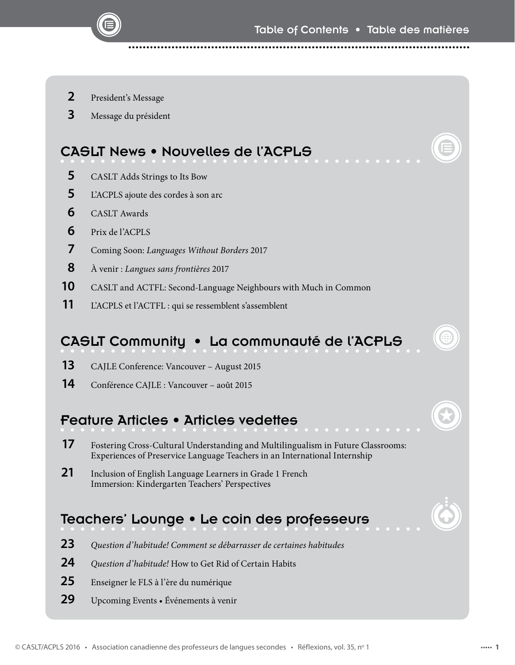- President's Message
- Message du président

## CASLT News • Nouvelles de l'ACPLS

- CASLT Adds Strings to Its Bow
- L'ACPLS ajoute des cordes à son arc
- CASLT Awards
- Prix de l'ACPLS
- Coming Soon: *Languages Without Borders*<sup>2017</sup>
- A venir : *Langues sans frontières* 2017
- CASLT and ACTFL: Second-Language Neighbours with Much in Common
- L'ACPLS et l'ACTFL : qui se ressemblent s'assemblent

## CASLT Community • La communauté de l'ACPLS

- CAJLE Conference: Vancouver August 2015
- Conférence CAJLE : Vancouver août 2015

## Feature Articles • Articles vedettes

- Fostering Cross-Cultural Understanding and Multilingualism in Future Classrooms: Experiences of Preservice Language Teachers in an International Internship
- Inclusion of English Language Learners in Grade 1 French Immersion: Kindergarten Teachers' Perspectives

## Teachers' Lounge • Le coin des professeurs

- *Question d'habitude! Comment se débarrasser de certaines habitudes*
- *Question d'habitude!* How to Get Rid of Certain Habits
- Enseigner le FLS à l'ère du numérique
- Upcoming Events Événements à venir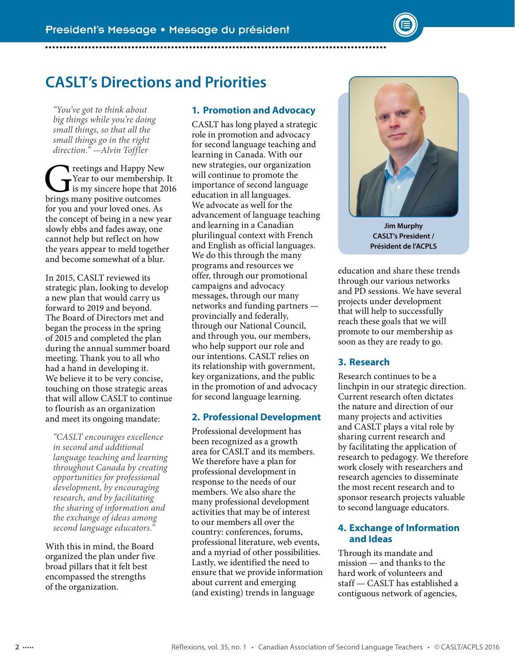

*"You've got to think about big things while you're doing small things, so that all the small things go in the right direction." —Alvin Toffler* 

Teetings and Happy New<br>
Year to our membership.<br>
Is my sincere hope that 20<br>
brings many positive outcomes Year to our membership. It is my sincere hope that 2016 brings many positive outcomes for you and your loved ones. As the concept of being in a new year slowly ebbs and fades away, one cannot help but reflect on how the years appear to meld together and become somewhat of a blur.

In 2015, CASLT reviewed its strategic plan, looking to develop a new plan that would carry us forward to 2019 and beyond. The Board of Directors met and began the process in the spring of 2015 and completed the plan during the annual summer board meeting. Thank you to all who had a hand in developing it. We believe it to be very concise, touching on those strategic areas that will allow CASLT to continue to flourish as an organization and meet its ongoing mandate:

*"CASLT encourages excellence in second and additional language teaching and learning throughout Canada by creating opportunities for professional development, by encouraging research, and by facilitating the sharing of information and the exchange of ideas among second language educators."*

With this in mind, the Board organized the plan under five broad pillars that it felt best encompassed the strengths of the organization.

## **1. Promotion and Advocacy**

CASLT has long played a strategic role in promotion and advocacy for second language teaching and learning in Canada. With our new strategies, our organization will continue to promote the importance of second language education in all languages. We advocate as well for the advancement of language teaching and learning in a Canadian plurilingual context with French and English as official languages. We do this through the many programs and resources we offer, through our promotional campaigns and advocacy messages, through our many networks and funding partners provincially and federally, through our National Council, and through you, our members, who help support our role and our intentions. CASLT relies on its relationship with government, key organizations, and the public in the promotion of and advocacy for second language learning.

## **2. Professional Development**

Professional development has been recognized as a growth area for CASLT and its members. We therefore have a plan for professional development in response to the needs of our members. We also share the many professional development activities that may be of interest to our members all over the country: conferences, forums, professional literature, web events, and a myriad of other possibilities. Lastly, we identified the need to ensure that we provide information about current and emerging (and existing) trends in language



**Jim Murphy CASLT's President / Président de l'ACPLS**

education and share these trends through our various networks and PD sessions. We have several projects under development that will help to successfully reach these goals that we will promote to our membership as soon as they are ready to go.

## **3. Research**

Research continues to be a linchpin in our strategic direction. Current research often dictates the nature and direction of our many projects and activities and CASLT plays a vital role by sharing current research and by facilitating the application of research to pedagogy. We therefore work closely with researchers and research agencies to disseminate the most recent research and to sponsor research projects valuable to second language educators.

## **4. Exchange of Information and Ideas**

Through its mandate and mission — and thanks to the hard work of volunteers and staff — CASLT has established a contiguous network of agencies,